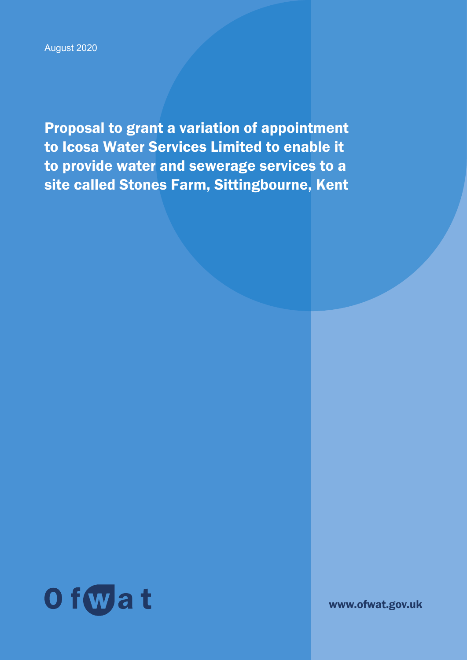August 2020

Proposal to grant a variation of appointment to Icosa Water Services Limited to enable it to provide water and sewerage services to a site called Stones Farm, Sittingbourne, Kent



www.ofwat.gov.uk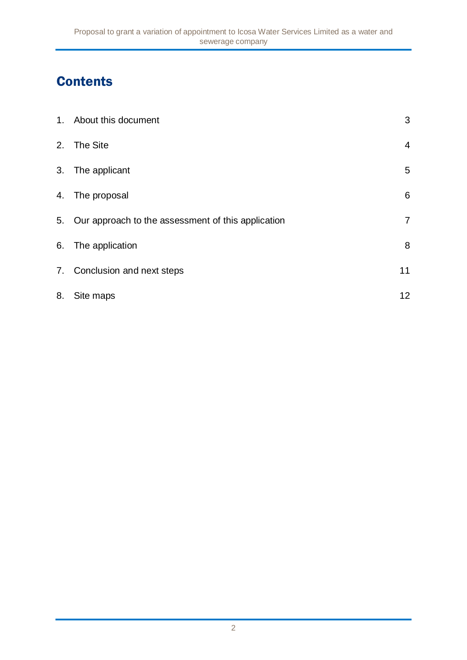# **Contents**

|    | 1. About this document                                | 3               |
|----|-------------------------------------------------------|-----------------|
|    | 2. The Site                                           | $\overline{4}$  |
|    | 3. The applicant                                      | 5               |
|    | 4. The proposal                                       | 6               |
|    | 5. Our approach to the assessment of this application | $\overline{7}$  |
|    | 6. The application                                    | 8               |
|    | 7. Conclusion and next steps                          | 11              |
| 8. | Site maps                                             | 12 <sub>2</sub> |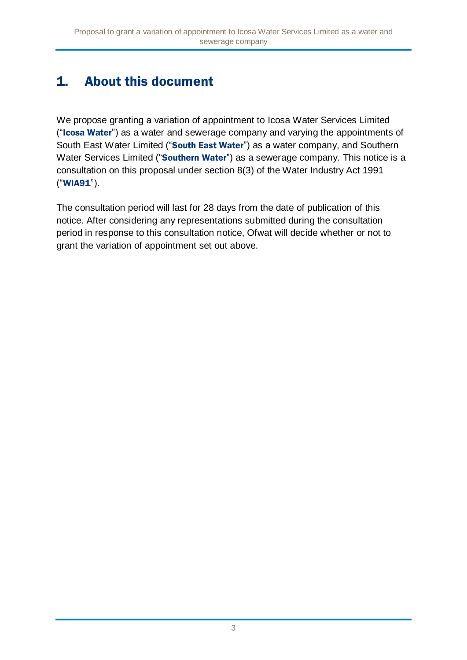# 1. About this document

We propose granting a variation of appointment to Icosa Water Services Limited ("Icosa Water") as a water and sewerage company and varying the appointments of South East Water Limited ("South East Water") as a water company, and Southern Water Services Limited ("Southern Water") as a sewerage company. This notice is a consultation on this proposal under section 8(3) of the Water Industry Act 1991 ("WIA91").

The consultation period will last for 28 days from the date of publication of this notice. After considering any representations submitted during the consultation period in response to this consultation notice, Ofwat will decide whether or not to grant the variation of appointment set out above.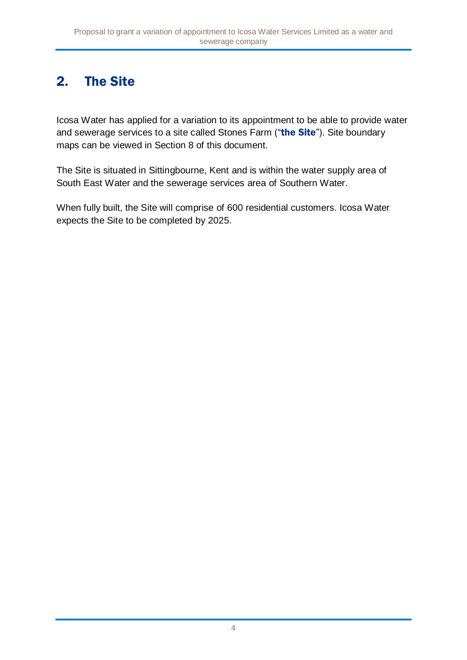## 2. The Site

Icosa Water has applied for a variation to its appointment to be able to provide water and sewerage services to a site called Stones Farm ("the Site"). Site boundary maps can be viewed in Section 8 of this document.

The Site is situated in Sittingbourne, Kent and is within the water supply area of South East Water and the sewerage services area of Southern Water.

When fully built, the Site will comprise of 600 residential customers. Icosa Water expects the Site to be completed by 2025.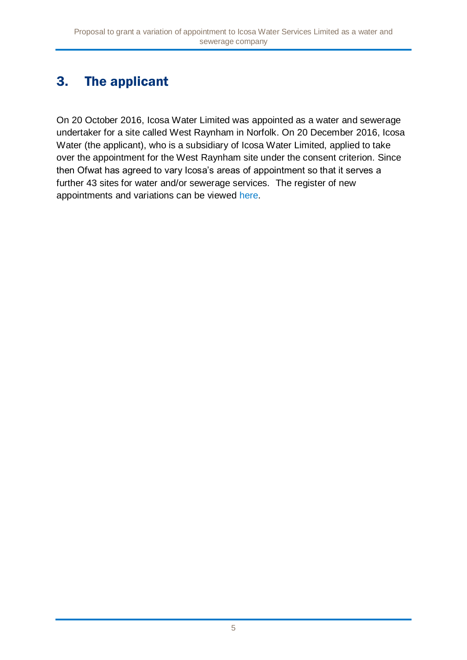# 3. The applicant

On 20 October 2016, Icosa Water Limited was appointed as a water and sewerage undertaker for a site called West Raynham in Norfolk. On 20 December 2016, Icosa Water (the applicant), who is a subsidiary of Icosa Water Limited, applied to take over the appointment for the West Raynham site under the consent criterion. Since then Ofwat has agreed to vary Icosa's areas of appointment so that it serves a further 43 sites for water and/or sewerage services. The register of new appointments and variations can be viewed [here.](http://www.ofwat.gov.uk/publication/register-of-new-appointments-and-variations-granted-to-date/)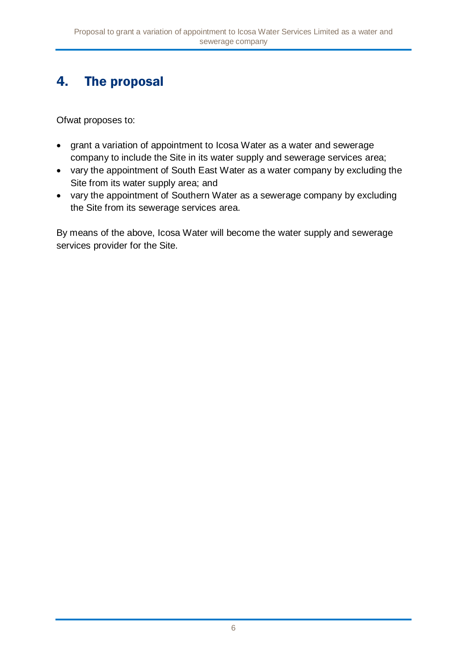## 4. The proposal

Ofwat proposes to:

- grant a variation of appointment to Icosa Water as a water and sewerage company to include the Site in its water supply and sewerage services area;
- vary the appointment of South East Water as a water company by excluding the Site from its water supply area; and
- vary the appointment of Southern Water as a sewerage company by excluding the Site from its sewerage services area.

By means of the above, Icosa Water will become the water supply and sewerage services provider for the Site.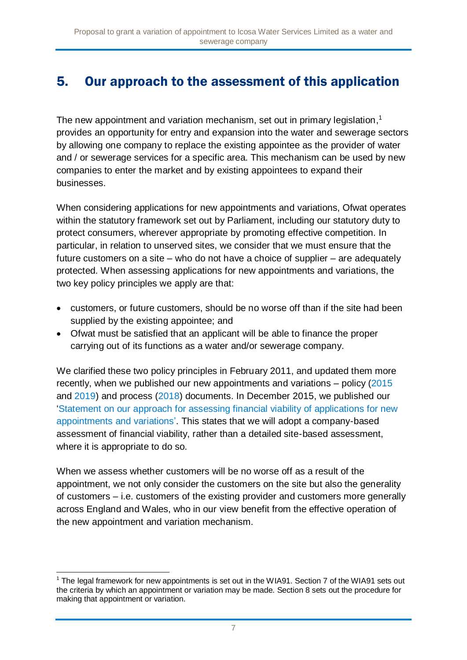### 5. Our approach to the assessment of this application

The new appointment and variation mechanism, set out in primary legislation,<sup>1</sup> provides an opportunity for entry and expansion into the water and sewerage sectors by allowing one company to replace the existing appointee as the provider of water and / or sewerage services for a specific area. This mechanism can be used by new companies to enter the market and by existing appointees to expand their businesses.

When considering applications for new appointments and variations, Ofwat operates within the statutory framework set out by Parliament, including our statutory duty to protect consumers, wherever appropriate by promoting effective competition. In particular, in relation to unserved sites, we consider that we must ensure that the future customers on a site – who do not have a choice of supplier – are adequately protected. When assessing applications for new appointments and variations, the two key policy principles we apply are that:

- customers, or future customers, should be no worse off than if the site had been supplied by the existing appointee; and
- Ofwat must be satisfied that an applicant will be able to finance the proper carrying out of its functions as a water and/or sewerage company.

We clarified these two policy principles in February 2011, and updated them more recently, when we published our new appointments and variations – policy [\(2015](https://www.ofwat.gov.uk/publication/new-appointments-variation-policy/) and [2019\)](https://www.ofwat.gov.uk/publication/conclusions-on-nav-policy-statement/) and process [\(2018\)](https://www.ofwat.gov.uk/wp-content/uploads/2018/08/NAV-application-process-guidance-Sep-18.pdf) documents. In December 2015, we published our ['Statement on our approach for assessing financial viability of applications for new](https://www.ofwat.gov.uk/wp-content/uploads/2015/12/pap_pos20121112navfinance.pdf)  [appointments and variations'.](https://www.ofwat.gov.uk/wp-content/uploads/2015/12/pap_pos20121112navfinance.pdf) This states that we will adopt a company-based assessment of financial viability, rather than a detailed site-based assessment, where it is appropriate to do so.

When we assess whether customers will be no worse off as a result of the appointment, we not only consider the customers on the site but also the generality of customers – i.e. customers of the existing provider and customers more generally across England and Wales, who in our view benefit from the effective operation of the new appointment and variation mechanism.

<sup>-</sup> $1$  The legal framework for new appointments is set out in the WIA91. Section 7 of the WIA91 sets out the criteria by which an appointment or variation may be made. Section 8 sets out the procedure for making that appointment or variation.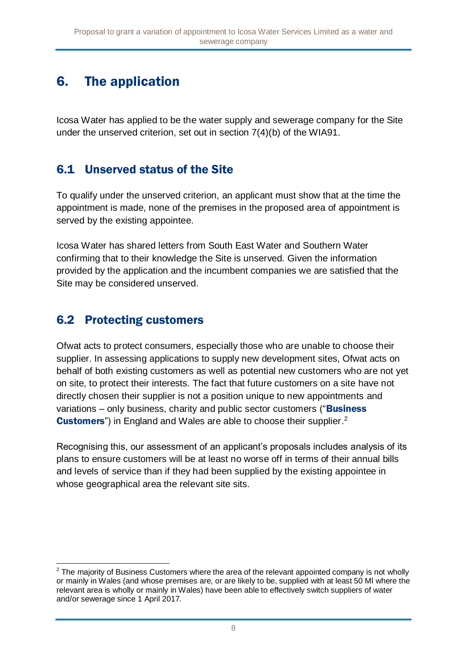## 6. The application

Icosa Water has applied to be the water supply and sewerage company for the Site under the unserved criterion, set out in section 7(4)(b) of the WIA91.

### 6.1 Unserved status of the Site

To qualify under the unserved criterion, an applicant must show that at the time the appointment is made, none of the premises in the proposed area of appointment is served by the existing appointee.

Icosa Water has shared letters from South East Water and Southern Water confirming that to their knowledge the Site is unserved. Given the information provided by the application and the incumbent companies we are satisfied that the Site may be considered unserved.

#### 6.2 Protecting customers

Ofwat acts to protect consumers, especially those who are unable to choose their supplier. In assessing applications to supply new development sites, Ofwat acts on behalf of both existing customers as well as potential new customers who are not yet on site, to protect their interests. The fact that future customers on a site have not directly chosen their supplier is not a position unique to new appointments and variations – only business, charity and public sector customers ("**Business Customers**") in England and Wales are able to choose their supplier.<sup>2</sup>

Recognising this, our assessment of an applicant's proposals includes analysis of its plans to ensure customers will be at least no worse off in terms of their annual bills and levels of service than if they had been supplied by the existing appointee in whose geographical area the relevant site sits.

<sup>-</sup> $2$  The maiority of Business Customers where the area of the relevant appointed company is not wholly or mainly in Wales (and whose premises are, or are likely to be, supplied with at least 50 Ml where the relevant area is wholly or mainly in Wales) have been able to effectively switch suppliers of water and/or sewerage since 1 April 2017.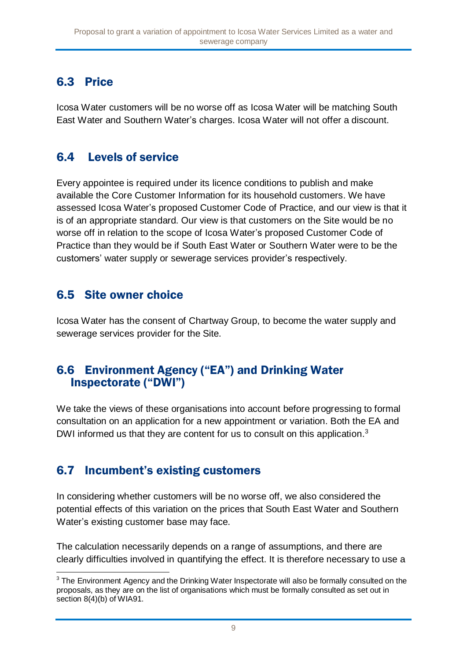### 6.3 Price

Icosa Water customers will be no worse off as Icosa Water will be matching South East Water and Southern Water's charges. Icosa Water will not offer a discount.

### 6.4 Levels of service

Every appointee is required under its licence conditions to publish and make available the Core Customer Information for its household customers. We have assessed Icosa Water's proposed Customer Code of Practice, and our view is that it is of an appropriate standard. Our view is that customers on the Site would be no worse off in relation to the scope of Icosa Water's proposed Customer Code of Practice than they would be if South East Water or Southern Water were to be the customers' water supply or sewerage services provider's respectively.

#### 6.5 Site owner choice

Icosa Water has the consent of Chartway Group, to become the water supply and sewerage services provider for the Site.

#### 6.6 Environment Agency ("EA") and Drinking Water Inspectorate ("DWI")

We take the views of these organisations into account before progressing to formal consultation on an application for a new appointment or variation. Both the EA and DWI informed us that they are content for us to consult on this application.<sup>3</sup>

#### 6.7 Incumbent's existing customers

In considering whether customers will be no worse off, we also considered the potential effects of this variation on the prices that South East Water and Southern Water's existing customer base may face.

The calculation necessarily depends on a range of assumptions, and there are clearly difficulties involved in quantifying the effect. It is therefore necessary to use a

<sup>-</sup> $3$  The Environment Agency and the Drinking Water Inspectorate will also be formally consulted on the proposals, as they are on the list of organisations which must be formally consulted as set out in section 8(4)(b) of WIA91.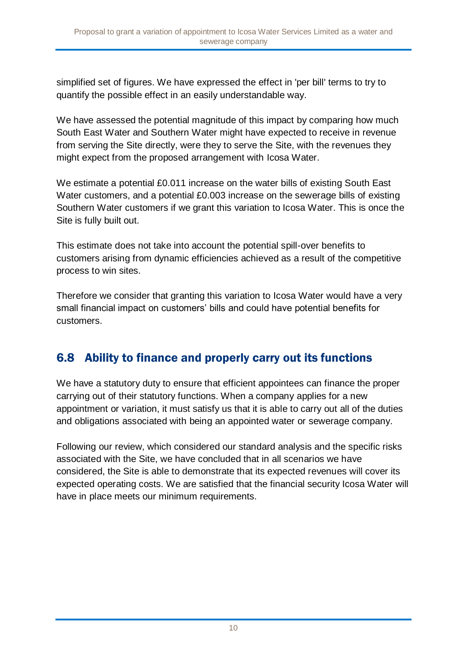simplified set of figures. We have expressed the effect in 'per bill' terms to try to quantify the possible effect in an easily understandable way.

We have assessed the potential magnitude of this impact by comparing how much South East Water and Southern Water might have expected to receive in revenue from serving the Site directly, were they to serve the Site, with the revenues they might expect from the proposed arrangement with Icosa Water.

We estimate a potential £0.011 increase on the water bills of existing South East Water customers, and a potential £0.003 increase on the sewerage bills of existing Southern Water customers if we grant this variation to Icosa Water. This is once the Site is fully built out.

This estimate does not take into account the potential spill-over benefits to customers arising from dynamic efficiencies achieved as a result of the competitive process to win sites.

Therefore we consider that granting this variation to Icosa Water would have a very small financial impact on customers' bills and could have potential benefits for customers.

#### 6.8 Ability to finance and properly carry out its functions

We have a statutory duty to ensure that efficient appointees can finance the proper carrying out of their statutory functions. When a company applies for a new appointment or variation, it must satisfy us that it is able to carry out all of the duties and obligations associated with being an appointed water or sewerage company.

Following our review, which considered our standard analysis and the specific risks associated with the Site, we have concluded that in all scenarios we have considered, the Site is able to demonstrate that its expected revenues will cover its expected operating costs. We are satisfied that the financial security Icosa Water will have in place meets our minimum requirements.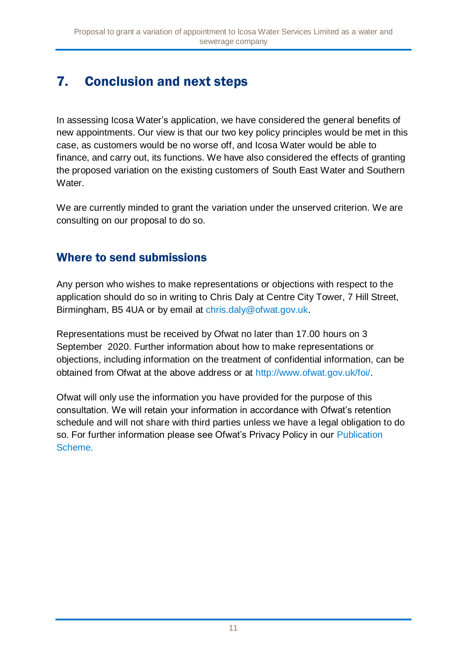## 7. Conclusion and next steps

In assessing Icosa Water's application, we have considered the general benefits of new appointments. Our view is that our two key policy principles would be met in this case, as customers would be no worse off, and Icosa Water would be able to finance, and carry out, its functions. We have also considered the effects of granting the proposed variation on the existing customers of South East Water and Southern Water.

We are currently minded to grant the variation under the unserved criterion. We are consulting on our proposal to do so.

#### Where to send submissions

Any person who wishes to make representations or objections with respect to the application should do so in writing to Chris Daly at Centre City Tower, 7 Hill Street, Birmingham, B5 4UA or by email at [chris.daly@ofwat.gov.uk.](mailto:chris.daly@ofwat.gov.uk)

Representations must be received by Ofwat no later than 17.00 hours on 3 September 2020. Further information about how to make representations or objections, including information on the treatment of confidential information, can be obtained from Ofwat at the above address or at [http://www.ofwat.gov.uk/foi/.](http://www.ofwat.gov.uk/foi/)

Ofwat will only use the information you have provided for the purpose of this consultation. We will retain your information in accordance with Ofwat's retention schedule and will not share with third parties unless we have a legal obligation to do so. For further information please see Ofwat's Privacy Policy in our Publication [Scheme.](http://www.ofwat.gov.uk/publication/privacy-policy/)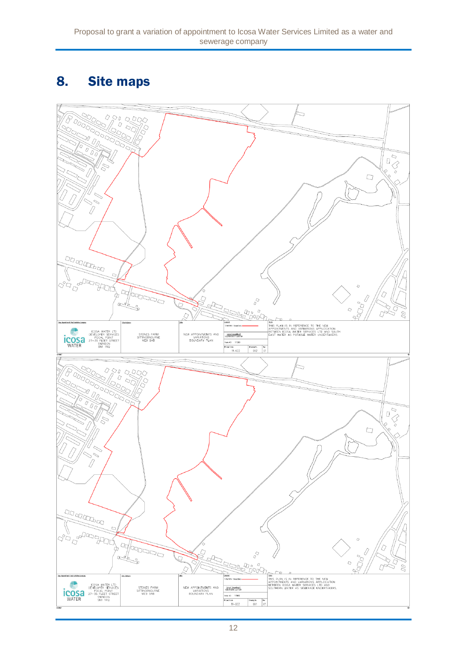### 8. Site maps